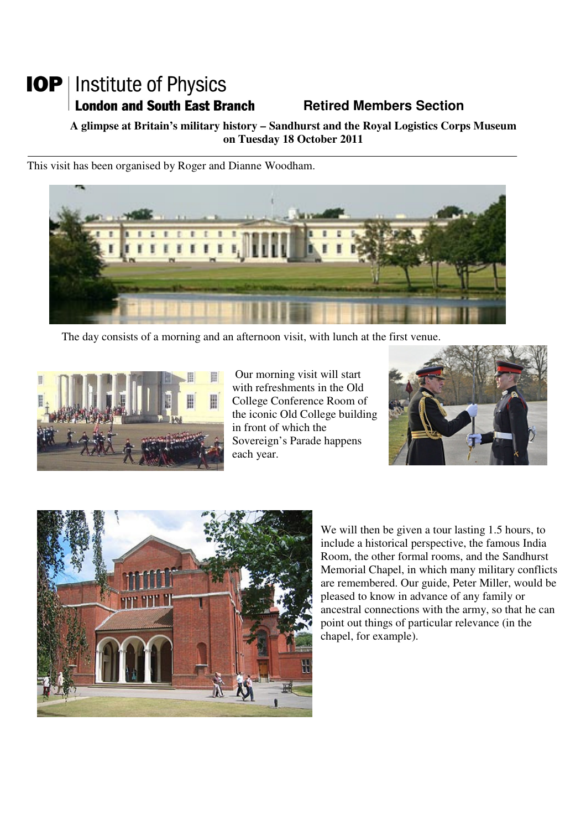# **IOP** | Institute of Physics **London and South East Branch Fig. 2.1 Retired Members Section**

**A glimpse at Britain's military history – Sandhurst and the Royal Logistics Corps Museum on Tuesday 18 October 2011** 

This visit has been organised by Roger and Dianne Woodham.



The day consists of a morning and an afternoon visit, with lunch at the first venue.



 Our morning visit will start with refreshments in the Old College Conference Room of the iconic Old College building in front of which the Sovereign's Parade happens each year.





We will then be given a tour lasting 1.5 hours, to include a historical perspective, the famous India Room, the other formal rooms, and the Sandhurst Memorial Chapel, in which many military conflicts are remembered. Our guide, Peter Miller, would be pleased to know in advance of any family or ancestral connections with the army, so that he can point out things of particular relevance (in the chapel, for example).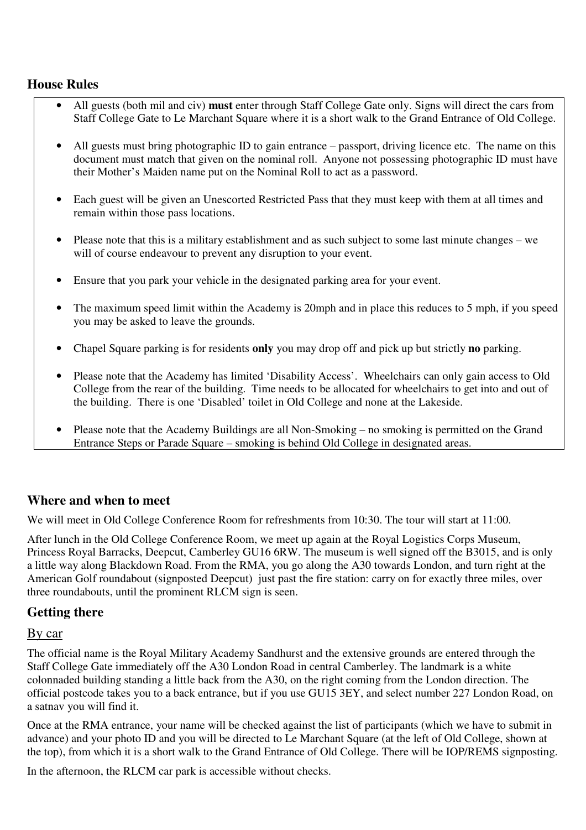### **House Rules**

- All guests (both mil and civ) **must** enter through Staff College Gate only. Signs will direct the cars from Staff College Gate to Le Marchant Square where it is a short walk to the Grand Entrance of Old College.
- All guests must bring photographic ID to gain entrance passport, driving licence etc. The name on this document must match that given on the nominal roll. Anyone not possessing photographic ID must have their Mother's Maiden name put on the Nominal Roll to act as a password.
- Each guest will be given an Unescorted Restricted Pass that they must keep with them at all times and remain within those pass locations.
- Please note that this is a military establishment and as such subject to some last minute changes we will of course endeavour to prevent any disruption to your event.
- Ensure that you park your vehicle in the designated parking area for your event.
- The maximum speed limit within the Academy is 20mph and in place this reduces to 5 mph, if you speed you may be asked to leave the grounds.
- Chapel Square parking is for residents **only** you may drop off and pick up but strictly **no** parking.
- Please note that the Academy has limited 'Disability Access'. Wheelchairs can only gain access to Old College from the rear of the building. Time needs to be allocated for wheelchairs to get into and out of the building. There is one 'Disabled' toilet in Old College and none at the Lakeside.
- Please note that the Academy Buildings are all Non-Smoking no smoking is permitted on the Grand Entrance Steps or Parade Square – smoking is behind Old College in designated areas.

#### **Where and when to meet**

We will meet in Old College Conference Room for refreshments from 10:30. The tour will start at 11:00.

After lunch in the Old College Conference Room, we meet up again at the Royal Logistics Corps Museum, Princess Royal Barracks, Deepcut, Camberley GU16 6RW. The museum is well signed off the B3015, and is only a little way along Blackdown Road. From the RMA, you go along the A30 towards London, and turn right at the American Golf roundabout (signposted Deepcut) just past the fire station: carry on for exactly three miles, over three roundabouts, until the prominent RLCM sign is seen.

### **Getting there**

#### By car

The official name is the Royal Military Academy Sandhurst and the extensive grounds are entered through the Staff College Gate immediately off the A30 London Road in central Camberley. The landmark is a white colonnaded building standing a little back from the A30, on the right coming from the London direction. The official postcode takes you to a back entrance, but if you use GU15 3EY, and select number 227 London Road, on a satnav you will find it.

Once at the RMA entrance, your name will be checked against the list of participants (which we have to submit in advance) and your photo ID and you will be directed to Le Marchant Square (at the left of Old College, shown at the top), from which it is a short walk to the Grand Entrance of Old College. There will be IOP/REMS signposting.

In the afternoon, the RLCM car park is accessible without checks.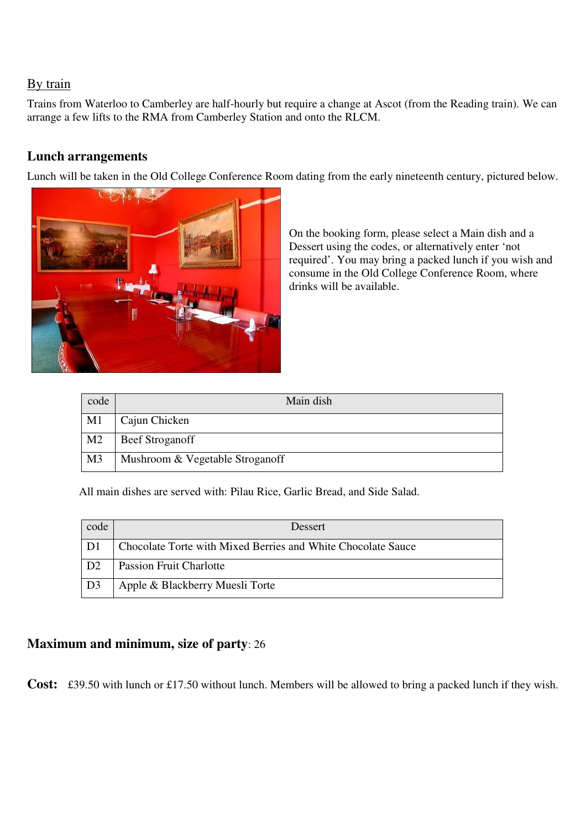# By train

Trains from Waterloo to Camberley are half-hourly but require a change at Ascot (from the Reading train). We can arrange a few lifts to the RMA from Camberley Station and onto the RLCM.

# **Lunch arrangements**

Lunch will be taken in the Old College Conference Room dating from the early nineteenth century, pictured below.



On the booking form, please select a Main dish and a Dessert using the codes, or alternatively enter 'not required'. You may bring a packed lunch if you wish and consume in the Old College Conference Room, where drinks will be available.

| code           | Main dish                       |
|----------------|---------------------------------|
| M1             | Cajun Chicken                   |
| M <sub>2</sub> | <b>Beef Stroganoff</b>          |
| M <sub>3</sub> | Mushroom & Vegetable Stroganoff |

All main dishes are served with: Pilau Rice, Garlic Bread, and Side Salad.

| code                   | Dessert                                                      |
|------------------------|--------------------------------------------------------------|
| D1                     | Chocolate Torte with Mixed Berries and White Chocolate Sauce |
| D <sub>2</sub>         | <b>Passion Fruit Charlotte</b>                               |
| $\vert$ D <sub>3</sub> | Apple & Blackberry Muesli Torte                              |

### **Maximum and minimum, size of party**: 26

**Cost:** £39.50 with lunch or £17.50 without lunch. Members will be allowed to bring a packed lunch if they wish.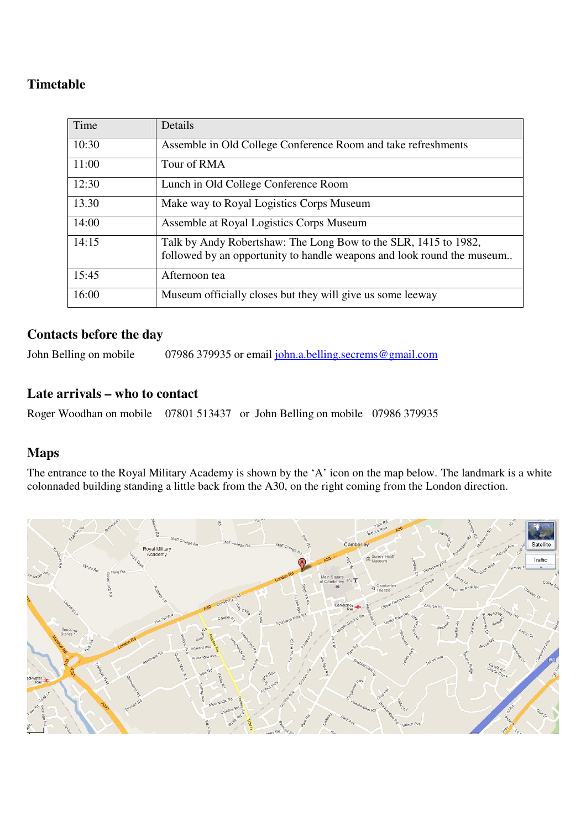# **Timetable**

| Time  | Details                                                                                                                                   |
|-------|-------------------------------------------------------------------------------------------------------------------------------------------|
| 10:30 | Assemble in Old College Conference Room and take refreshments                                                                             |
| 11:00 | Tour of RMA                                                                                                                               |
| 12:30 | Lunch in Old College Conference Room                                                                                                      |
| 13.30 | Make way to Royal Logistics Corps Museum                                                                                                  |
| 14:00 | Assemble at Royal Logistics Corps Museum                                                                                                  |
| 14:15 | Talk by Andy Robertshaw: The Long Bow to the SLR, 1415 to 1982,<br>followed by an opportunity to handle weapons and look round the museum |
| 15:45 | Afternoon tea                                                                                                                             |
| 16:00 | Museum officially closes but they will give us some leeway                                                                                |

# **Contacts before the day**

John Belling on mobile 07986 379935 or email john.a.belling.secrems@gmail.com

### **Late arrivals – who to contact**

Roger Woodhan on mobile 07801 513437 or John Belling on mobile 07986 379935

# **Maps**

The entrance to the Royal Military Academy is shown by the 'A' icon on the map below. The landmark is a white colonnaded building standing a little back from the A30, on the right coming from the London direction.